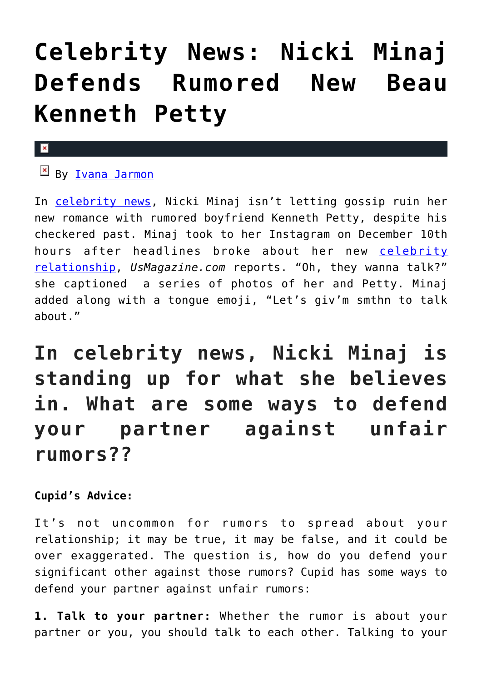## **[Celebrity News: Nicki Minaj](https://cupidspulse.com/127738/celebrity-news-nicki-minaj-defends-kenneth-petty/) [Defends Rumored New Beau](https://cupidspulse.com/127738/celebrity-news-nicki-minaj-defends-kenneth-petty/) [Kenneth Petty](https://cupidspulse.com/127738/celebrity-news-nicki-minaj-defends-kenneth-petty/)**

## $\mathbf{x}$

 $B_V$  [Ivana Jarmon](http://cupidspulse.com/126746/ivana-jarmon/)

In [celebrity news,](http://cupidspulse.com/) Nicki Minaj isn't letting gossip ruin her new romance with rumored boyfriend Kenneth Petty, despite his checkered past. Minaj took to her Instagram on December 10th hours after headlines broke about her new [celebrity](http://cupidspulse.com/celebrity-news/celebrity-dating/) [relationship](http://cupidspulse.com/celebrity-news/celebrity-dating/), *UsMagazine.com* reports. "Oh, they wanna talk?" she captioned a series of photos of her and Petty. Minaj added along with a tongue emoji, "Let's giv'm smthn to talk about."

**In celebrity news, Nicki Minaj is standing up for what she believes in. What are some ways to defend your partner against unfair rumors??**

**Cupid's Advice:**

It's not uncommon for rumors to spread about your relationship; it may be true, it may be false, and it could be over exaggerated. The question is, how do you defend your significant other against those rumors? Cupid has some ways to defend your partner against unfair rumors:

**1. Talk to your partner:** Whether the rumor is about your partner or you, you should talk to each other. Talking to your